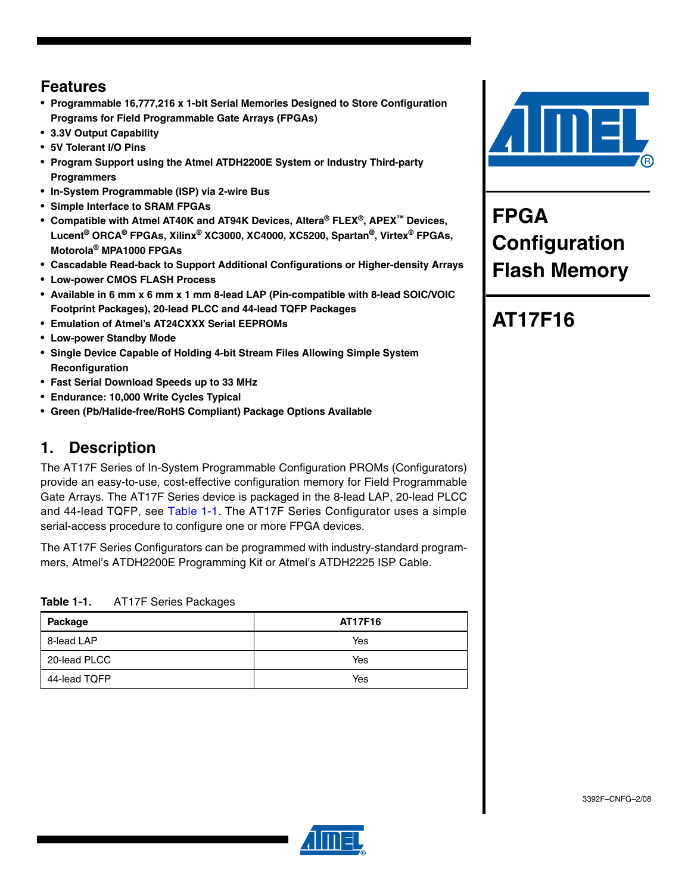# **Features**

- **Programmable 16,777,216 x 1-bit Serial Memories Designed to Store Configuration Programs for Field Programmable Gate Arrays (FPGAs)**
- **3.3V Output Capability**
- **5V Tolerant I/O Pins**
- **Program Support using the Atmel ATDH2200E System or Industry Third-party Programmers**
- **In-System Programmable (ISP) via 2-wire Bus**
- **Simple Interface to SRAM FPGAs**
- **Compatible with Atmel AT40K and AT94K Devices, Altera® FLEX®, APEX™ Devices, Lucent® ORCA® FPGAs, Xilinx® XC3000, XC4000, XC5200, Spartan®, Virtex® FPGAs, Motorola® MPA1000 FPGAs**
- **Cascadable Read-back to Support Additional Configurations or Higher-density Arrays**
- **Low-power CMOS FLASH Process**
- **Available in 6 mm x 6 mm x 1 mm 8-lead LAP (Pin-compatible with 8-lead SOIC/VOIC Footprint Packages), 20-lead PLCC and 44-lead TQFP Packages**
- **Emulation of Atmel's AT24CXXX Serial EEPROMs**
- **Low-power Standby Mode**
- **Single Device Capable of Holding 4-bit Stream Files Allowing Simple System Reconfiguration**
- **Fast Serial Download Speeds up to 33 MHz**
- **Endurance: 10,000 Write Cycles Typical**
- **Green (Pb/Halide-free/RoHS Compliant) Package Options Available**

# **1. Description**

The AT17F Series of In-System Programmable Configuration PROMs (Configurators) provide an easy-to-use, cost-effective configuration memory for Field Programmable Gate Arrays. The AT17F Series device is packaged in the 8-lead LAP, 20-lead PLCC and 44-lead TQFP, see [Table 1-1](#page-0-0). The AT17F Series Configurator uses a simple serial-access procedure to configure one or more FPGA devices.

The AT17F Series Configurators can be programmed with industry-standard programmers, Atmel's ATDH2200E Programming Kit or Atmel's ATDH2225 ISP Cable.

<span id="page-0-0"></span>

| Table 1-1. | <b>AT17F Series Packages</b> |
|------------|------------------------------|
|------------|------------------------------|

| Package      | <b>AT17F16</b> |
|--------------|----------------|
| 8-lead LAP   | Yes            |
| 20-lead PLCC | Yes            |
| 44-lead TQFP | Yes            |



**FPGA Configuration Flash Memory**

# **AT17F16**



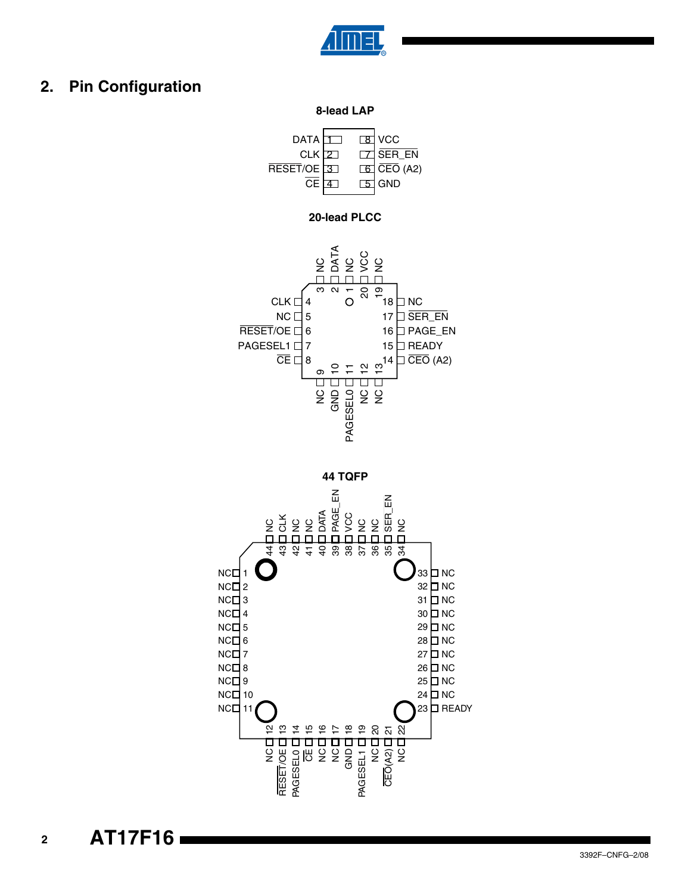

# **2. Pin Configuration**

**8-lead LAP**



#### **20-lead PLCC**



**AT17F16**

**2**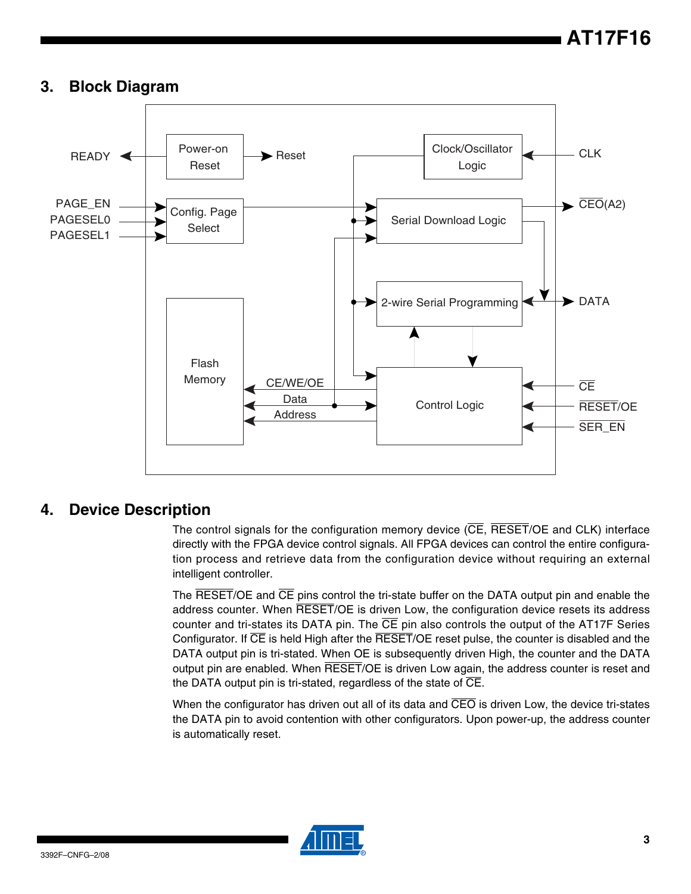#### Power-on Clock/Oscillator **CLK** READY < Reset ◢ Reset Logic PAGE\_EN  $\blacktriangleright$  CEO(A2) Config. Page PAGESEL0 Serial Download Logic **Select** PAGESEL1  $\blacktriangleright$  DATA 2-wire Serial Programming Flash Memory CE/WE/OE **CE** Data Control Logic RESET/OE Address SER\_EN

## **3. Block Diagram**

#### **4. Device Description**

The control signals for the configuration memory device (CE, RESET/OE and CLK) interface directly with the FPGA device control signals. All FPGA devices can control the entire configuration process and retrieve data from the configuration device without requiring an external intelligent controller.

The RESET/OE and CE pins control the tri-state buffer on the DATA output pin and enable the address counter. When RESET/OE is driven Low, the configuration device resets its address counter and tri-states its DATA pin. The  $\overline{CE}$  pin also controls the output of the AT17F Series Configurator. If  $\overline{\text{CE}}$  is held High after the  $\overline{\text{RESET}}$ /OE reset pulse, the counter is disabled and the DATA output pin is tri-stated. When OE is subsequently driven High, the counter and the DATA output pin are enabled. When RESET/OE is driven Low again, the address counter is reset and the DATA output pin is tri-stated, regardless of the state of  $\overline{\text{CE}}$ .

When the configurator has driven out all of its data and  $\overline{CEO}$  is driven Low, the device tri-states the DATA pin to avoid contention with other configurators. Upon power-up, the address counter is automatically reset.

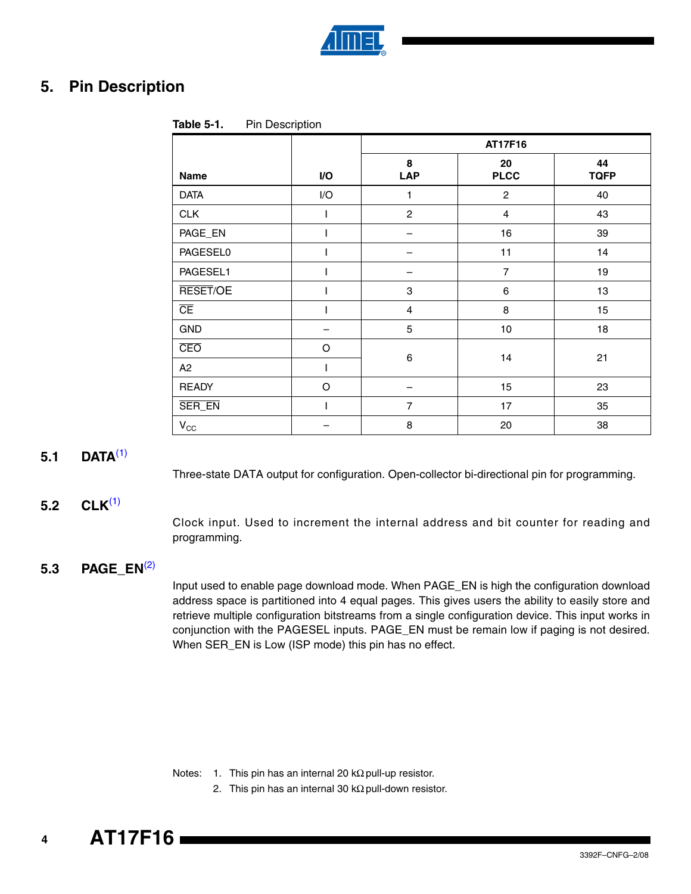

# **5. Pin Description**

| <b>Pin Description</b><br>Table 5-1. |     |                 |                   |                   |  |  |  |
|--------------------------------------|-----|-----------------|-------------------|-------------------|--|--|--|
|                                      |     | AT17F16         |                   |                   |  |  |  |
| Name                                 | I/O | 8<br><b>LAP</b> | 20<br><b>PLCC</b> | 44<br><b>TQFP</b> |  |  |  |
| <b>DATA</b>                          | I/O | 1               | $\mathbf{2}$      | 40                |  |  |  |
| <b>CLK</b>                           |     | $\mathbf{2}$    | 4                 | 43                |  |  |  |
| PAGE_EN                              |     |                 | 16                | 39                |  |  |  |
| <b>PAGESEL0</b>                      |     |                 | 11                | 14                |  |  |  |
| PAGESEL1                             |     |                 | $\overline{7}$    | 19                |  |  |  |
| RESET/OE                             |     | 3               | 6                 | 13                |  |  |  |
| <b>CE</b>                            |     | 4               | 8                 | 15                |  |  |  |
| <b>GND</b>                           |     | 5               | 10                | 18                |  |  |  |
| CEO                                  | O   | 6               |                   | 21                |  |  |  |
| A2                                   |     |                 | 14                |                   |  |  |  |
| <b>READY</b>                         | O   |                 | 15                | 23                |  |  |  |
| SER_EN                               |     | $\overline{7}$  | 17                | 35                |  |  |  |
| $V_{\rm CC}$                         |     | 8               | 20                | 38                |  |  |  |

#### **5.1 DATA**[\(1\)](#page-3-0)

Three-state DATA output for configuration. Open-collector bi-directional pin for programming.

#### **5.2 CLK**[\(1\)](#page-3-0)

Clock input. Used to increment the internal address and bit counter for reading and programming.

#### **5.3 PAGE\_EN**[\(2\)](#page-3-1)

Input used to enable page download mode. When PAGE\_EN is high the configuration download address space is partitioned into 4 equal pages. This gives users the ability to easily store and retrieve multiple configuration bitstreams from a single configuration device. This input works in conjunction with the PAGESEL inputs. PAGE\_EN must be remain low if paging is not desired. When SER\_EN is Low (ISP mode) this pin has no effect.

- <span id="page-3-1"></span><span id="page-3-0"></span>Notes: 1. This pin has an internal 20 kΩ pull-up resistor.
	- 2. This pin has an internal 30 kΩ pull-down resistor.

**4**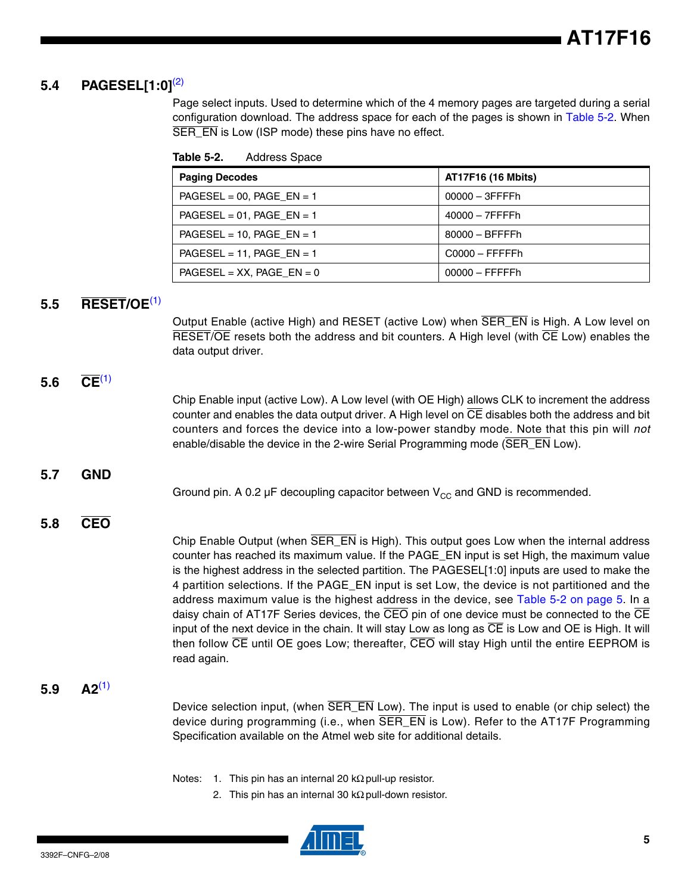## **5.4 PAGESEL[1:0]**[\(2\)](#page-4-0)

Page select inputs. Used to determine which of the 4 memory pages are targeted during a serial configuration download. The address space for each of the pages is shown in [Table 5-2](#page-4-1). When SER EN is Low (ISP mode) these pins have no effect.

<span id="page-4-1"></span>

| <b>Table 5-2.</b> | <b>Address Space</b> |
|-------------------|----------------------|
|-------------------|----------------------|

| <b>Paging Decodes</b>          | <b>AT17F16 (16 Mbits)</b> |
|--------------------------------|---------------------------|
| PAGESEL = $00$ , PAGE EN = 1   | $00000 - 3$ FFFFh         |
| PAGESEL = $01$ , PAGE EN = 1   | $40000 - 7$ FFFFh         |
| PAGESEL = 10, PAGE EN = 1      | $80000 - B$ FFFFh         |
| PAGESEL = 11, PAGE EN = 1      | $C0000 - FFFFF$           |
| $PAGESEL = XX$ , $PAGE EN = 0$ | $00000 - FFFFF$ h         |

#### **5.5 RESET/OE**[\(1\)](#page-4-2)

Output Enable (active High) and RESET (active Low) when **SER\_EN** is High. A Low level on RESET/OE resets both the address and bit counters. A High level (with CE Low) enables the data output driver.

#### 5.6  $\overline{CE}^{(1)}$  $\overline{CE}^{(1)}$  $\overline{CE}^{(1)}$

Chip Enable input (active Low). A Low level (with OE High) allows CLK to increment the address counter and enables the data output driver. A High level on CE disables both the address and bit counters and forces the device into a low-power standby mode. Note that this pin will *not* enable/disable the device in the 2-wire Serial Programming mode (SER\_EN Low).

#### **5.7 GND**

Ground pin. A 0.2  $\mu$ F decoupling capacitor between V<sub>CC</sub> and GND is recommended.

#### **5.8 CEO**

Chip Enable Output (when **SER\_EN** is High). This output goes Low when the internal address counter has reached its maximum value. If the PAGE\_EN input is set High, the maximum value is the highest address in the selected partition. The PAGESEL[1:0] inputs are used to make the 4 partition selections. If the PAGE\_EN input is set Low, the device is not partitioned and the address maximum value is the highest address in the device, see [Table 5-2 on page 5](#page-4-1). In a daisy chain of AT17F Series devices, the  $\overline{\text{CEO}}$  pin of one device must be connected to the  $\overline{\text{CE}}$ input of the next device in the chain. It will stay Low as long as  $\overline{CE}$  is Low and OE is High. It will then follow CE until OE goes Low; thereafter, CEO will stay High until the entire EEPROM is read again.

#### 5.9  $\mathbf{A2}^{(1)}$  $\mathbf{A2}^{(1)}$  $\mathbf{A2}^{(1)}$

Device selection input, (when  $\overline{\text{SER\_EN}}$  Low). The input is used to enable (or chip select) the device during programming (i.e., when  $\overline{\text{SER\_EN}}$  is Low). Refer to the AT17F Programming Specification available on the Atmel web site for additional details.

- <span id="page-4-2"></span><span id="page-4-0"></span>Notes: 1. This pin has an internal 20 kΩ pull-up resistor.
	- 2. This pin has an internal 30 kΩ pull-down resistor.

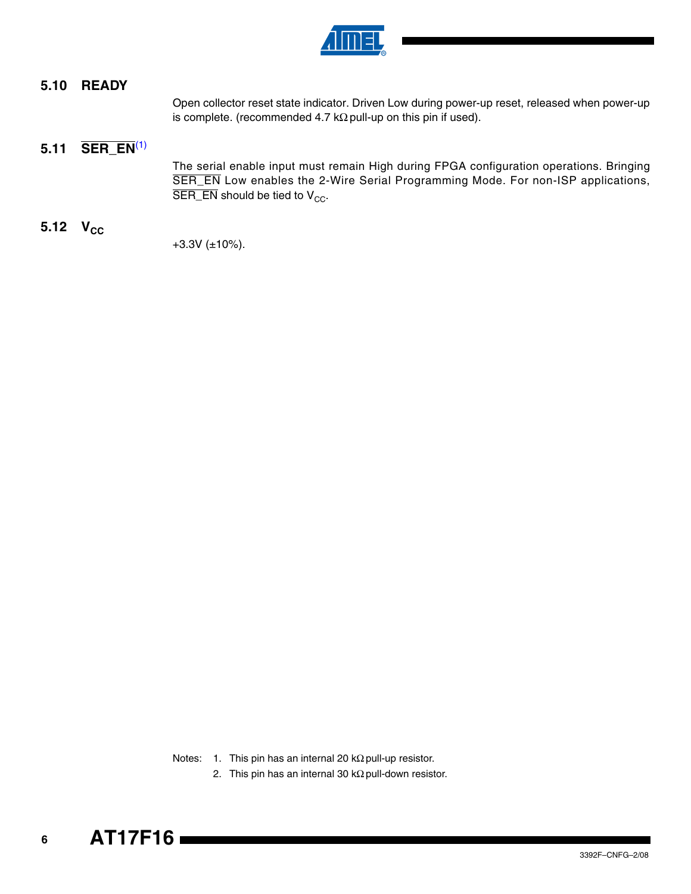

#### **5.10 READY**

Open collector reset state indicator. Driven Low during power-up reset, released when power-up is complete. (recommended 4.7 k $\Omega$  pull-up on this pin if used).

#### **5.11 SER\_EN**[\(1\)](#page-5-0)

The serial enable input must remain High during FPGA configuration operations. Bringing SER\_EN Low enables the 2-Wire Serial Programming Mode. For non-ISP applications,  $\overline{\text{SER\_EN}}$  should be tied to  $V_{CC}$ .

# 5.12 V<sub>CC</sub>

+3.3V (±10%).

<span id="page-5-0"></span>Notes: 1. This pin has an internal 20 kΩ pull-up resistor.

2. This pin has an internal 30 kΩ pull-down resistor.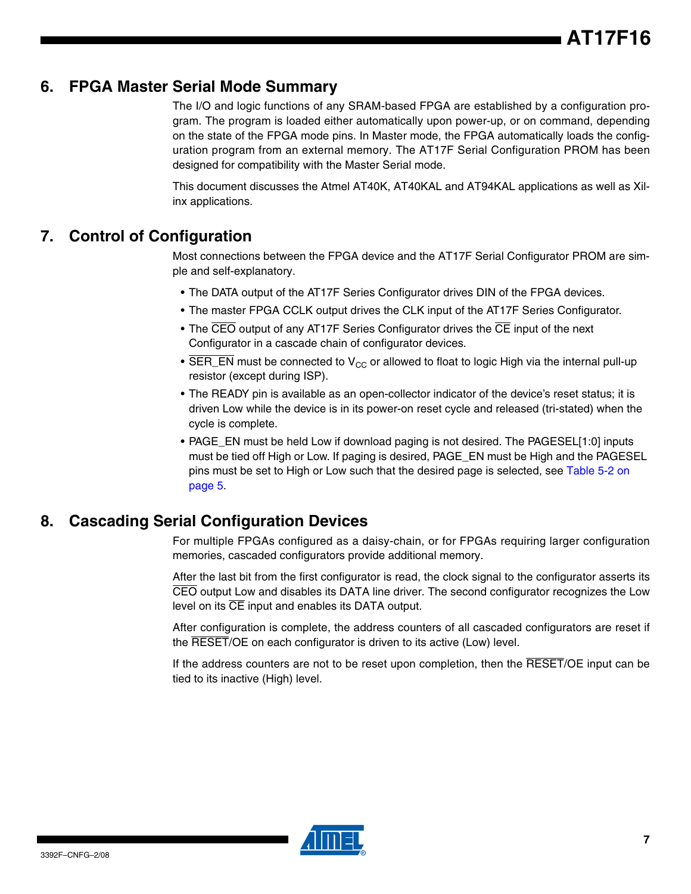# **AT17F16**

# **6. FPGA Master Serial Mode Summary**

The I/O and logic functions of any SRAM-based FPGA are established by a configuration program. The program is loaded either automatically upon power-up, or on command, depending on the state of the FPGA mode pins. In Master mode, the FPGA automatically loads the configuration program from an external memory. The AT17F Serial Configuration PROM has been designed for compatibility with the Master Serial mode.

This document discusses the Atmel AT40K, AT40KAL and AT94KAL applications as well as Xilinx applications.

## **7. Control of Configuration**

Most connections between the FPGA device and the AT17F Serial Configurator PROM are simple and self-explanatory.

- The DATA output of the AT17F Series Configurator drives DIN of the FPGA devices.
- The master FPGA CCLK output drives the CLK input of the AT17F Series Configurator.
- The CEO output of any AT17F Series Configurator drives the CE input of the next Configurator in a cascade chain of configurator devices.
- $\overline{\text{SER\_EN}}$  must be connected to V<sub>CC</sub> or allowed to float to logic High via the internal pull-up resistor (except during ISP).
- The READY pin is available as an open-collector indicator of the device's reset status; it is driven Low while the device is in its power-on reset cycle and released (tri-stated) when the cycle is complete.
- PAGE\_EN must be held Low if download paging is not desired. The PAGESEL[1:0] inputs must be tied off High or Low. If paging is desired, PAGE\_EN must be High and the PAGESEL pins must be set to High or Low such that the desired page is selected, see [Table 5-2 on](#page-4-1)  [page 5.](#page-4-1)

## **8. Cascading Serial Configuration Devices**

For multiple FPGAs configured as a daisy-chain, or for FPGAs requiring larger configuration memories, cascaded configurators provide additional memory.

After the last bit from the first configurator is read, the clock signal to the configurator asserts its CEO output Low and disables its DATA line driver. The second configurator recognizes the Low level on its CE input and enables its DATA output.

After configuration is complete, the address counters of all cascaded configurators are reset if the RESET/OE on each configurator is driven to its active (Low) level.

If the address counters are not to be reset upon completion, then the RESET/OE input can be tied to its inactive (High) level.

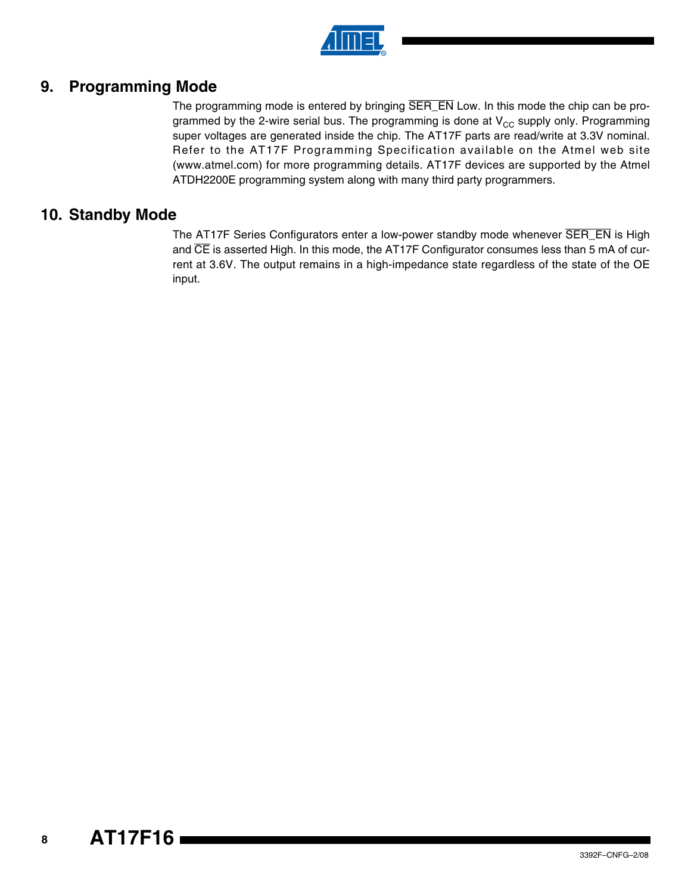

## **9. Programming Mode**

The programming mode is entered by bringing SER\_EN Low. In this mode the chip can be programmed by the 2-wire serial bus. The programming is done at  $V_{CC}$  supply only. Programming super voltages are generated inside the chip. The AT17F parts are read/write at 3.3V nominal. Refer to the AT17F Programming Specification available on the Atmel web site (www.atmel.com) for more programming details. AT17F devices are supported by the Atmel ATDH2200E programming system along with many third party programmers.

#### **10. Standby Mode**

The AT17F Series Configurators enter a low-power standby mode whenever  $\overline{SER\_EN}$  is High and  $\overline{CE}$  is asserted High. In this mode, the AT17F Configurator consumes less than 5 mA of current at 3.6V. The output remains in a high-impedance state regardless of the state of the OE input.

**8**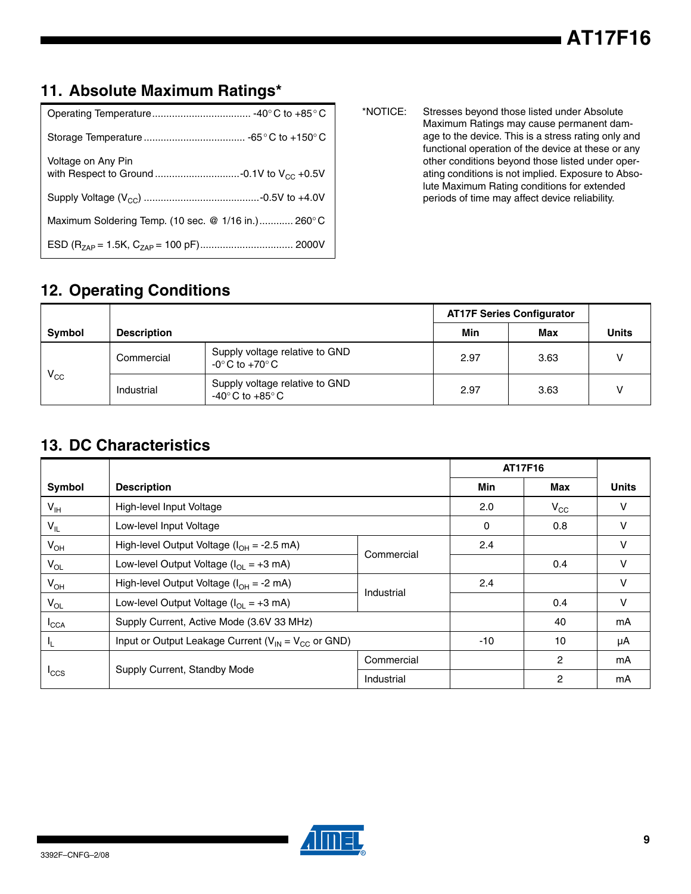# **11. Absolute Maximum Ratings\***

| Voltage on Any Pin                                     |
|--------------------------------------------------------|
|                                                        |
| Maximum Soldering Temp. (10 sec. $@1/16$ in.) 260 $°C$ |
|                                                        |

\*NOTICE: Stresses beyond those listed under Absolute Maximum Ratings may cause permanent damage to the device. This is a stress rating only and functional operation of the device at these or any other conditions beyond those listed under operating conditions is not implied. Exposure to Absolute Maximum Rating conditions for extended periods of time may affect device reliability.

# **12. Operating Conditions**

|              |                    |                                                                      | <b>AT17F Series Configurator</b> |      |              |
|--------------|--------------------|----------------------------------------------------------------------|----------------------------------|------|--------------|
| Symbol       | <b>Description</b> |                                                                      | Min                              | Max  | <b>Units</b> |
|              | Commercial         | Supply voltage relative to GND<br>$-0^\circ$ C to $+70^\circ$ C      | 2.97                             | 3.63 |              |
| $V_{\rm CC}$ | Industrial         | Supply voltage relative to GND<br>$-40^{\circ}$ C to $+85^{\circ}$ C | 2.97                             | 3.63 |              |

# **13. DC Characteristics**

|                  |                                                             |            | AT17F16 |              |        |
|------------------|-------------------------------------------------------------|------------|---------|--------------|--------|
| Symbol           | <b>Description</b>                                          |            | Min     | Max          | Units  |
| $V_{\text{IH}}$  | High-level Input Voltage                                    |            | 2.0     | $V_{\rm CC}$ | $\vee$ |
| $V_{IL}$         | Low-level Input Voltage                                     |            | 0       | 0.8          | v      |
| $V_{OH}$         | High-level Output Voltage ( $I_{OH}$ = -2.5 mA)             | Commercial | 2.4     |              | $\vee$ |
| $V_{OL}$         | Low-level Output Voltage $(l_{\text{OI}} = +3 \text{ mA})$  |            |         | 0.4          | $\vee$ |
| $V_{OH}$         | High-level Output Voltage $(I_{OH} = -2$ mA)                | Industrial | 2.4     |              | $\vee$ |
| $V_{OL}$         | Low-level Output Voltage $(l_{\text{OI}} = +3 \text{ mA})$  |            |         | 0.4          | $\vee$ |
| $I_{\text{CCA}}$ | Supply Current, Active Mode (3.6V 33 MHz)                   |            |         | 40           | mA     |
| ٠L               | Input or Output Leakage Current ( $V_{IN} = V_{CC}$ or GND) |            | $-10$   | 10           | μA     |
|                  |                                                             | Commercial |         | 2            | mA     |
| $I_{CCS}$        | Supply Current, Standby Mode                                | Industrial |         | 2            | mA     |

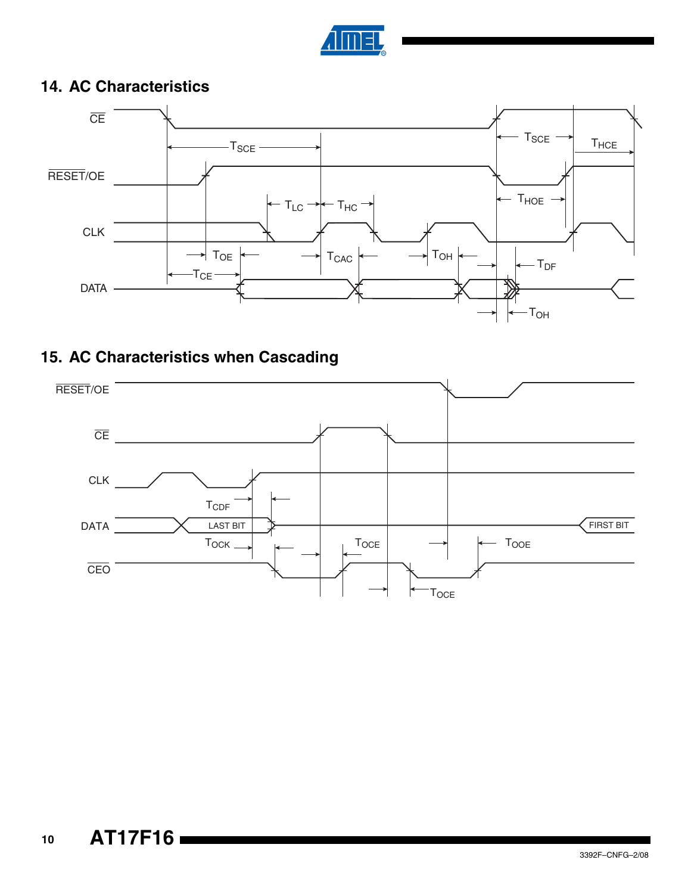

# **14. AC Characteristics**



# **15. AC Characteristics when Cascading**

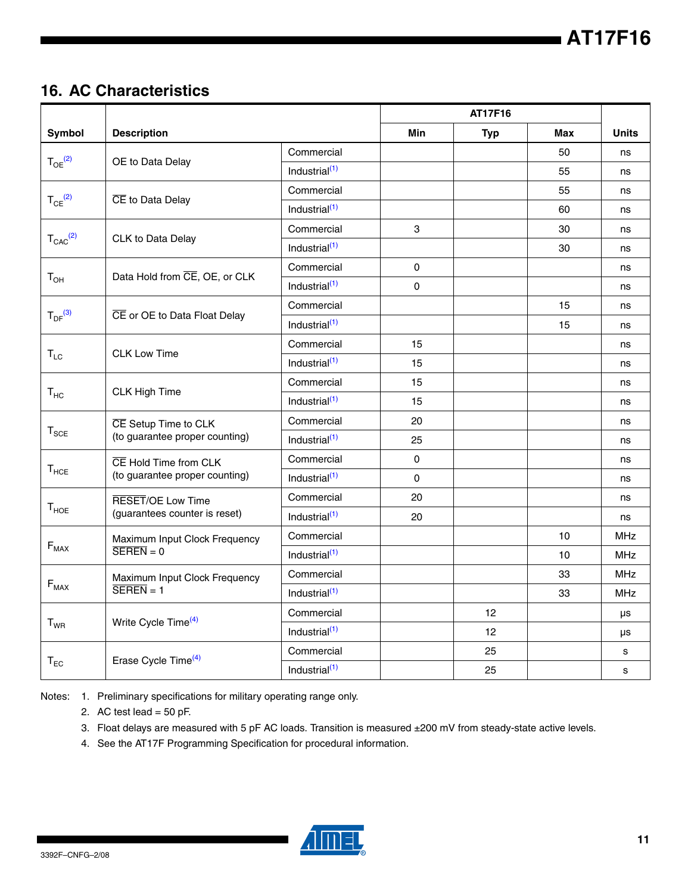# **16. AC Characteristics**

|                         |                                 |                           |          | AT17F16    |     |              |
|-------------------------|---------------------------------|---------------------------|----------|------------|-----|--------------|
| <b>Symbol</b>           | <b>Description</b>              |                           | Min      | <b>Typ</b> | Max | <b>Units</b> |
|                         |                                 | Commercial                |          |            | 50  | ns           |
| $T_{OE}^{(2)}$          | OE to Data Delay                | Industrial $(1)$          |          |            | 55  | ns           |
|                         |                                 | Commercial                |          |            | 55  | ns           |
| $T_{CE}$ <sup>(2)</sup> | CE to Data Delay                | Industrial <sup>(1)</sup> |          |            | 60  | ns           |
|                         |                                 | Commercial                | 3        |            | 30  | ns           |
| $T_{CAC}^{(2)}$         | CLK to Data Delay               | Industrial <sup>(1)</sup> |          |            | 30  | ns           |
|                         | Data Hold from CE, OE, or CLK   | Commercial                | 0        |            |     | ns           |
| $T_{OH}$                |                                 | Industrial <sup>(1)</sup> | $\Omega$ |            |     | ns           |
|                         |                                 | Commercial                |          |            | 15  | ns           |
| $T_{DF}^{(3)}$          | CE or OE to Data Float Delay    | Industrial <sup>(1)</sup> |          |            | 15  | ns           |
|                         |                                 | Commercial                | 15       |            |     | ns           |
|                         | <b>CLK Low Time</b><br>$T_{LC}$ | Industrial $(1)$          | 15       |            |     | ns           |
|                         |                                 | Commercial                | 15       |            |     | ns           |
| $T_{HC}$                | <b>CLK High Time</b>            | Industrial <sup>(1)</sup> | 15       |            |     | ns           |
|                         | CE Setup Time to CLK            | Commercial                | 20       |            |     | ns           |
| $T_{SCE}$               | (to guarantee proper counting)  | Industrial <sup>(1)</sup> | 25       |            |     | ns           |
|                         | CE Hold Time from CLK           | Commercial                | 0        |            |     | ns           |
| $T_{HCE}$               | (to guarantee proper counting)  | Industrial $(1)$          | $\Omega$ |            |     | ns           |
|                         | <b>RESET/OE Low Time</b>        | Commercial                | 20       |            |     | ns           |
| $T_{HOE}$               | (guarantees counter is reset)   | Industrial <sup>(1)</sup> | 20       |            |     | ns           |
|                         | Maximum Input Clock Frequency   | Commercial                |          |            | 10  | <b>MHz</b>   |
| $F_{MAX}$               | $\overline{\text{SEREN}} = 0$   | Industrial $(1)$          |          |            | 10  | <b>MHz</b>   |
|                         | Maximum Input Clock Frequency   | Commercial                |          |            | 33  | <b>MHz</b>   |
| $F_{MAX}$               | $\overline{\text{SEREN}} = 1$   | Industrial <sup>(1)</sup> |          |            | 33  | <b>MHz</b>   |
|                         |                                 | Commercial                |          | 12         |     | μs           |
| $T_{WR}$                | Write Cycle Time <sup>(4)</sup> | Industrial <sup>(1)</sup> |          | 12         |     | μs           |
|                         |                                 | Commercial                |          | 25         |     | s            |
| $T_{EC}$                | Erase Cycle Time <sup>(4)</sup> | Industrial <sup>(1)</sup> |          | 25         |     | s            |

<span id="page-10-2"></span><span id="page-10-1"></span><span id="page-10-0"></span>Notes: 1. Preliminary specifications for military operating range only.

- 2. AC test lead =  $50$  pF.
- 3. Float delays are measured with 5 pF AC loads. Transition is measured ±200 mV from steady-state active levels.
- <span id="page-10-3"></span>4. See the AT17F Programming Specification for procedural information.

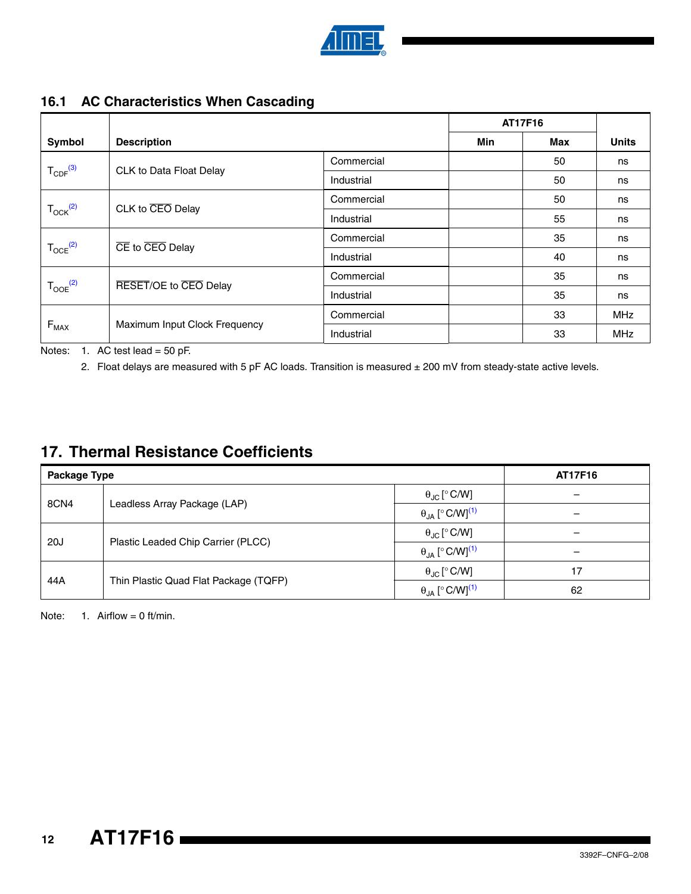

#### **16.1 AC Characteristics When Cascading**

|                          |                               |            | AT17F16 |            |              |
|--------------------------|-------------------------------|------------|---------|------------|--------------|
| Symbol                   | <b>Description</b>            |            | Min     | <b>Max</b> | <b>Units</b> |
|                          |                               | Commercial |         | 50         | ns           |
| $T_{CDF}^{(3)}$          | CLK to Data Float Delay       | Industrial |         | 50         | ns           |
|                          | CLK to CEO Delay              | Commercial |         | 50         | ns           |
| $T_{\text{OCK}}^{(2)}$   |                               | Industrial |         | 55         | ns           |
|                          | CE to CEO Delay               | Commercial |         | 35         | ns           |
| $T_{OCE}$ <sup>(2)</sup> |                               | Industrial |         | 40         | ns           |
|                          | RESET/OE to CEO Delay         | Commercial |         | 35         | ns           |
| $T_{OOE}^{(2)}$          |                               | Industrial |         | 35         | ns           |
| $F_{MAX}$                |                               | Commercial |         | 33         | MHz          |
|                          | Maximum Input Clock Frequency | Industrial |         | 33         | <b>MHz</b>   |

Notes:  $1.$  AC test lead = 50 pF.

2. Float delays are measured with 5 pF AC loads. Transition is measured  $\pm$  200 mV from steady-state active levels.

# **17. Thermal Resistance Coefficients**

| Package Type                              |                                                   |                                                   | AT17F16 |
|-------------------------------------------|---------------------------------------------------|---------------------------------------------------|---------|
|                                           |                                                   | $\theta_{\text{JC}}$ [ $^{\circ}$ C/W]            |         |
| 8CN4<br>Leadless Array Package (LAP)      | $\theta_{\mathsf{JA}}$ [ $^{\circ}$ C/W] $^{(1)}$ |                                                   |         |
|                                           |                                                   | $\theta_{\mathsf{JC}}$ [ $^{\circ}$ C/W]          | -       |
| 20J<br>Plastic Leaded Chip Carrier (PLCC) |                                                   | $\theta_{\mathsf{JA}}$ [ $^{\circ}$ C/W] $^{(1)}$ |         |
|                                           | Thin Plastic Quad Flat Package (TQFP)             | $\theta_{\text{JC}}$ [ $^{\circ}$ C/W]            | 17      |
| 44A                                       |                                                   | $\theta_{\mathsf{JA}}$ [° C/W] $^{(1)}$           | 62      |

<span id="page-11-0"></span>Note:  $1.$  Airflow = 0 ft/min.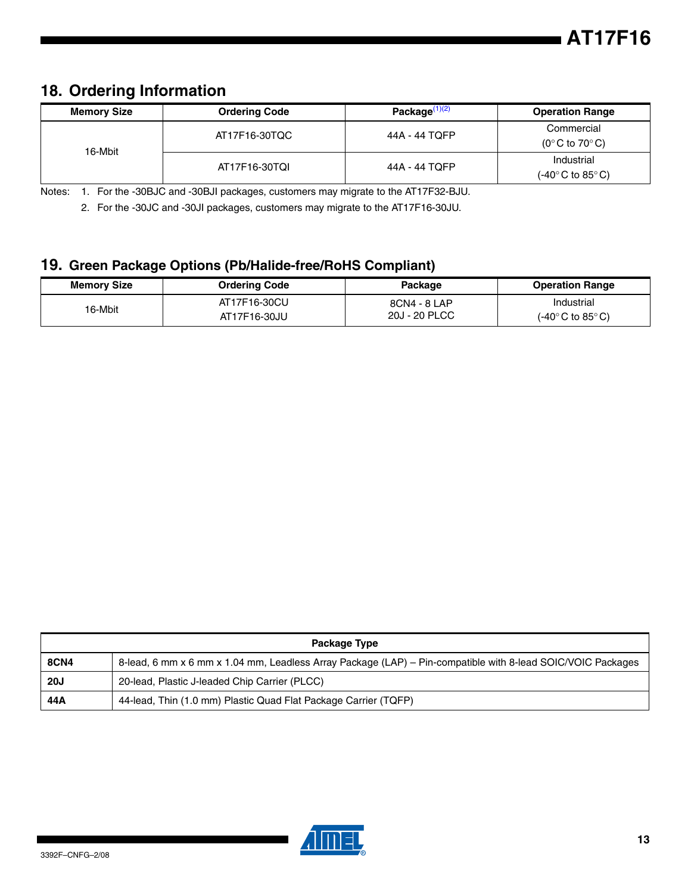# **18. Ordering Information**

| <b>Memory Size</b> | <b>Ordering Code</b> | Package $(1)(2)$ | <b>Operation Range</b>                                            |
|--------------------|----------------------|------------------|-------------------------------------------------------------------|
| 16-Mbit            | AT17F16-30TQC        | 44A - 44 TQFP    | Commercial<br>(0 $^{\circ}$ C to 70 $^{\circ}$ C)                 |
|                    | AT17F16-30TQI        | 44A - 44 TQFP    | Industrial<br>$(-40^{\circ} \text{C}$ to 85 $^{\circ} \text{C}$ ) |

<span id="page-12-1"></span><span id="page-12-0"></span>Notes: 1. For the -30BJC and -30BJI packages, customers may migrate to the AT17F32-BJU.

2. For the -30JC and -30JI packages, customers may migrate to the AT17F16-30JU.

## **19. Green Package Options (Pb/Halide-free/RoHS Compliant)**

| <b>Memory Size</b> | <b>Ordering Code</b> | Package       | <b>Operation Range</b> |
|--------------------|----------------------|---------------|------------------------|
| 16-Mbit            | AT17F16-30CU         | 8CN4 - 8 LAP  | Industrial             |
|                    | AT17F16-30JU         | 20J - 20 PLCC | (-40°C to 85°C).       |

| Package Type |                                                                                                             |  |
|--------------|-------------------------------------------------------------------------------------------------------------|--|
| <b>8CN4</b>  | 8-lead, 6 mm x 6 mm x 1.04 mm, Leadless Array Package (LAP) – Pin-compatible with 8-lead SOIC/VOIC Packages |  |
| <b>20J</b>   | 20-lead, Plastic J-leaded Chip Carrier (PLCC)                                                               |  |
| 44 A         | 44-lead, Thin (1.0 mm) Plastic Quad Flat Package Carrier (TQFP)                                             |  |

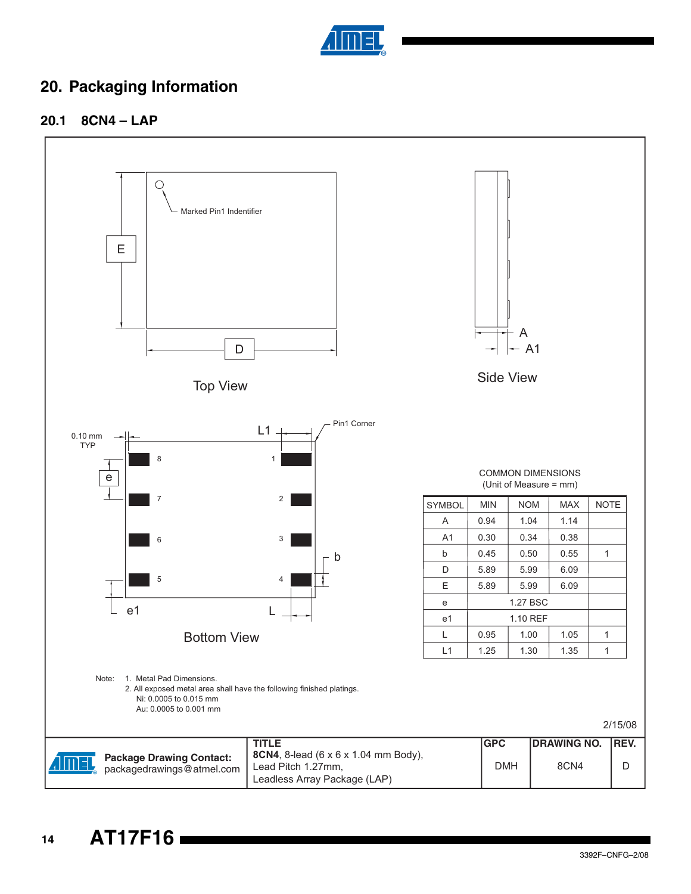

# **20. Packaging Information**

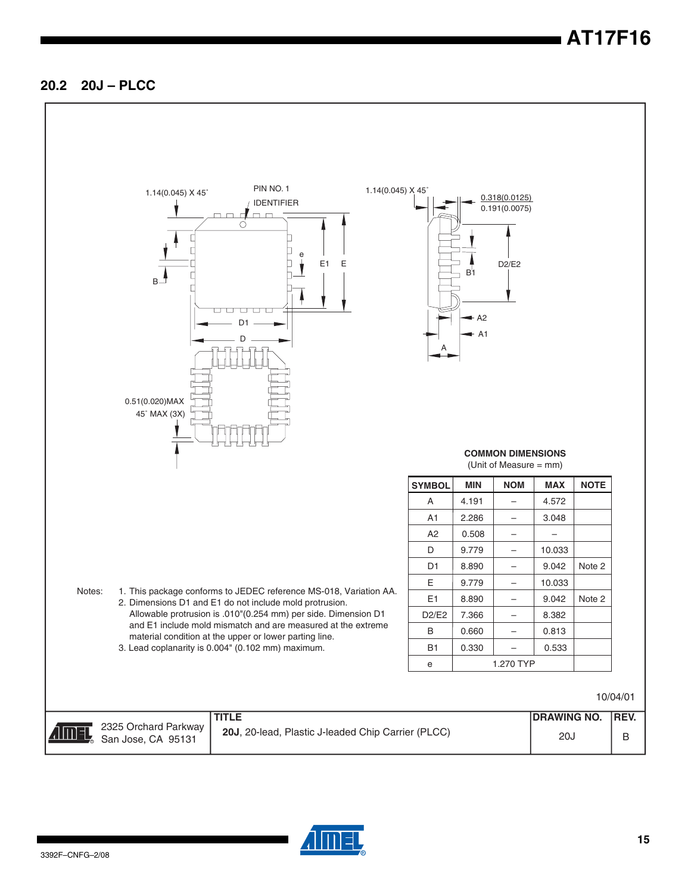#### **20.2 20J – PLCC**



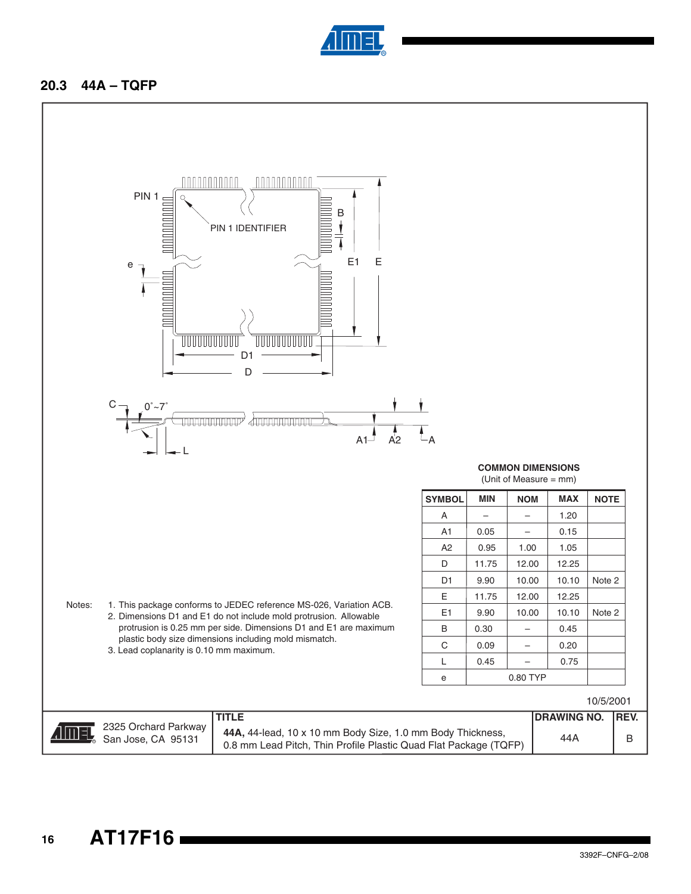

#### **20.3 44A – TQFP**

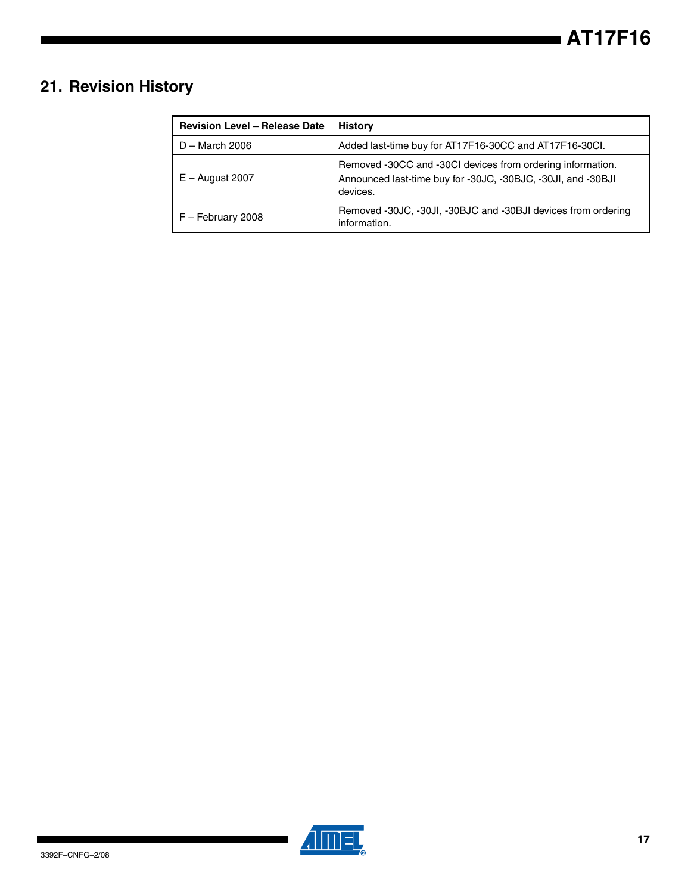# **21. Revision History**

| <b>Revision Level - Release Date</b> | <b>History</b>                                                                                                                         |
|--------------------------------------|----------------------------------------------------------------------------------------------------------------------------------------|
| $D -$ March 2006                     | Added last-time buy for AT17F16-30CC and AT17F16-30CI.                                                                                 |
| $E -$ August 2007                    | Removed -30CC and -30CI devices from ordering information.<br>Announced last-time buy for -30JC, -30BJC, -30JI, and -30BJI<br>devices. |
| F – February 2008                    | Removed -30JC, -30JI, -30BJC and -30BJI devices from ordering<br>information.                                                          |

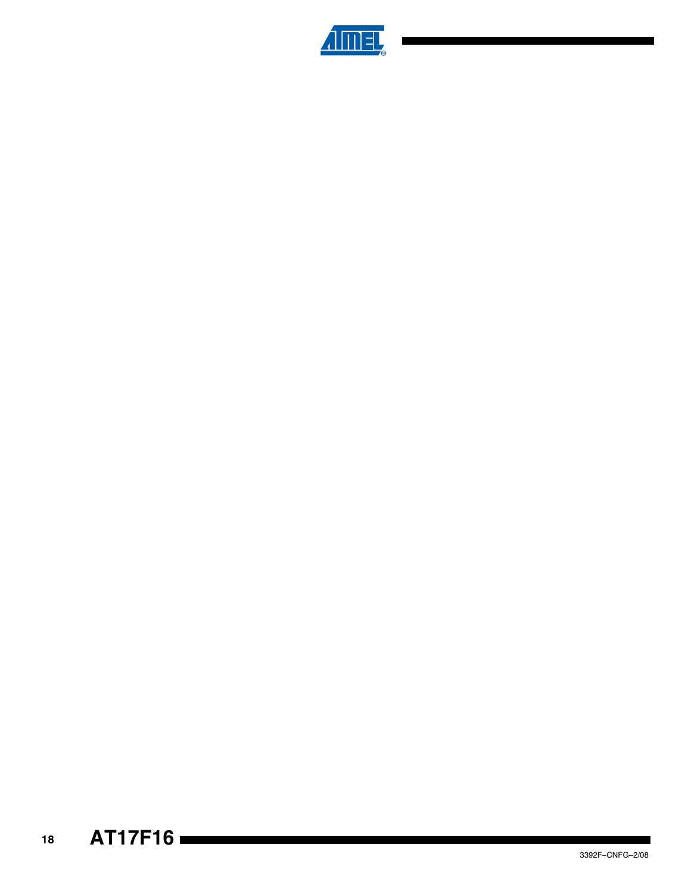

# **AT17F16**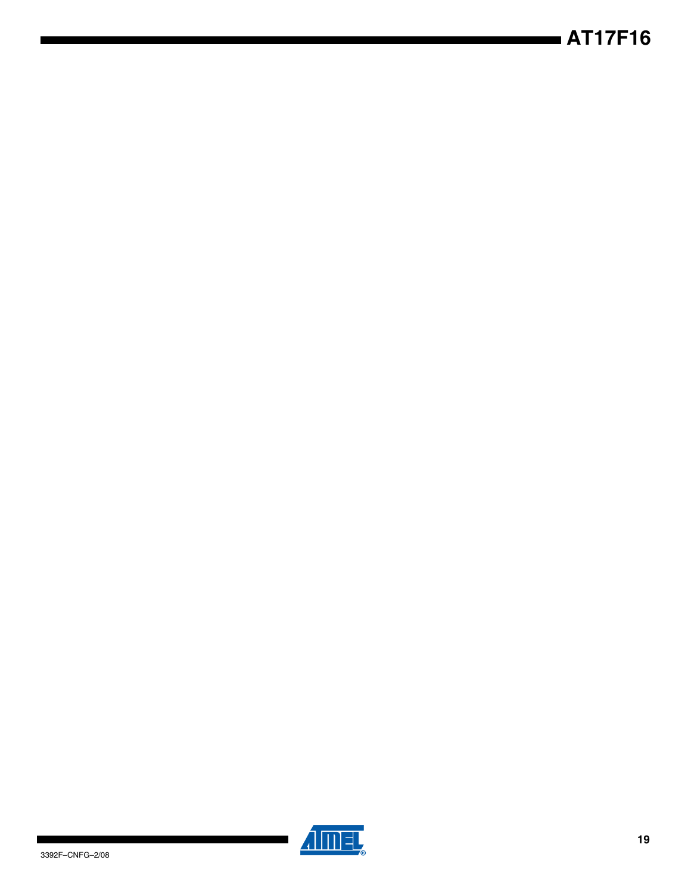

 $\blacksquare$